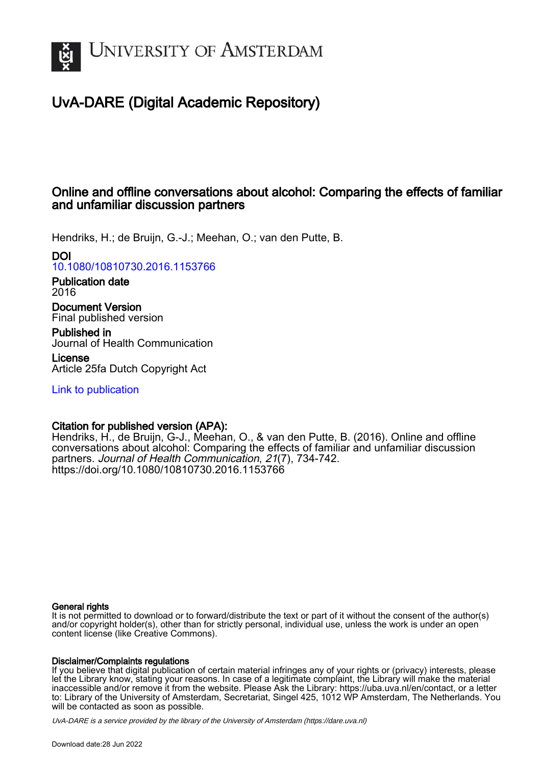

# UvA-DARE (Digital Academic Repository)

# Online and offline conversations about alcohol: Comparing the effects of familiar and unfamiliar discussion partners

Hendriks, H.; de Bruijn, G.-J.; Meehan, O.; van den Putte, B.

## DOI

[10.1080/10810730.2016.1153766](https://doi.org/10.1080/10810730.2016.1153766)

Publication date 2016

Document Version Final published version

Published in Journal of Health Communication

License Article 25fa Dutch Copyright Act

[Link to publication](https://dare.uva.nl/personal/pure/en/publications/online-and-offline-conversations-about-alcohol-comparing-the-effects-of-familiar-and-unfamiliar-discussion-partners(a7a83432-9606-40ab-a3d2-63406c59e77c).html)

## Citation for published version (APA):

Hendriks, H., de Bruijn, G-J., Meehan, O., & van den Putte, B. (2016). Online and offline conversations about alcohol: Comparing the effects of familiar and unfamiliar discussion partners. Journal of Health Communication, 21(7), 734-742. <https://doi.org/10.1080/10810730.2016.1153766>

## General rights

It is not permitted to download or to forward/distribute the text or part of it without the consent of the author(s) and/or copyright holder(s), other than for strictly personal, individual use, unless the work is under an open content license (like Creative Commons).

## Disclaimer/Complaints regulations

If you believe that digital publication of certain material infringes any of your rights or (privacy) interests, please let the Library know, stating your reasons. In case of a legitimate complaint, the Library will make the material inaccessible and/or remove it from the website. Please Ask the Library: https://uba.uva.nl/en/contact, or a letter to: Library of the University of Amsterdam, Secretariat, Singel 425, 1012 WP Amsterdam, The Netherlands. You will be contacted as soon as possible.

UvA-DARE is a service provided by the library of the University of Amsterdam (http*s*://dare.uva.nl)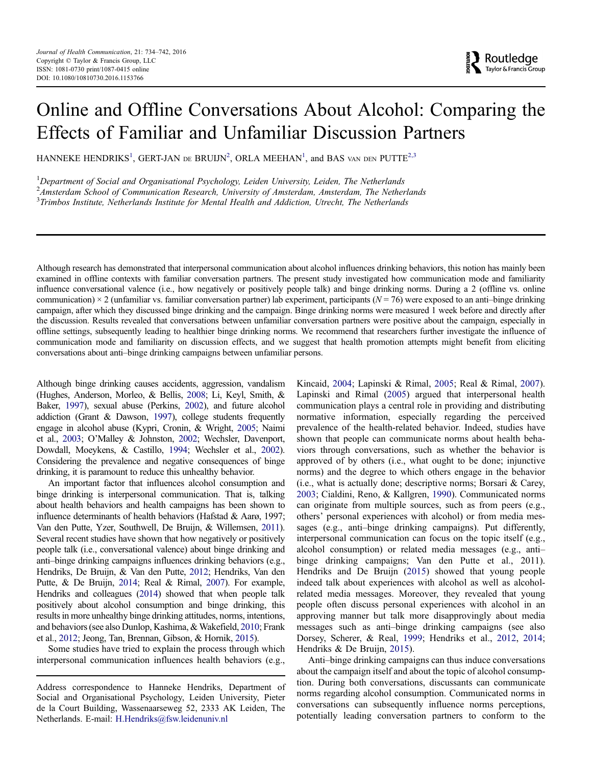# Online and Offline Conversations About Alcohol: Comparing the Effects of Familiar and Unfamiliar Discussion Partners

HANNEKE HENDRIKS<sup>1</sup>, GERT-JAN DE BRUIJN<sup>2</sup>, ORLA MEEHAN<sup>1</sup>, and BAS van den PUTTE<sup>2,3</sup>

<sup>1</sup>Department of Social and Organisational Psychology, Leiden University, Leiden, The Netherlands <sup>2</sup> Amsterdam School of Communication Research, University of Amsterdam, Amsterdam, The Netherlands  $3$ Trimbos Institute, Netherlands Institute for Mental Health and Addiction, Utrecht, The Netherlands

Although research has demonstrated that interpersonal communication about alcohol influences drinking behaviors, this notion has mainly been examined in offline contexts with familiar conversation partners. The present study investigated how communication mode and familiarity influence conversational valence (i.e., how negatively or positively people talk) and binge drinking norms. During a 2 (offline vs. online communication)  $\times$  2 (unfamiliar vs. familiar conversation partner) lab experiment, participants ( $N = 76$ ) were exposed to an anti-binge drinking campaign, after which they discussed binge drinking and the campaign. Binge drinking norms were measured 1 week before and directly after the discussion. Results revealed that conversations between unfamiliar conversation partners were positive about the campaign, especially in offline settings, subsequently leading to healthier binge drinking norms. We recommend that researchers further investigate the influence of communication mode and familiarity on discussion effects, and we suggest that health promotion attempts might benefit from eliciting conversations about anti–binge drinking campaigns between unfamiliar persons.

Although binge drinking causes accidents, aggression, vandalism (Hughes, Anderson, Morleo, & Bellis, [2008;](#page-8-0) Li, Keyl, Smith, & Baker, [1997\)](#page-8-0), sexual abuse (Perkins, [2002\)](#page-8-0), and future alcohol addiction (Grant & Dawson, [1997\)](#page-8-0), college students frequently engage in alcohol abuse (Kypri, Cronin, & Wright, [2005;](#page-8-0) Naimi et al., [2003;](#page-8-0) O'Malley & Johnston, [2002](#page-8-0); Wechsler, Davenport, Dowdall, Moeykens, & Castillo, [1994;](#page-9-0) Wechsler et al., [2002](#page-9-0)). Considering the prevalence and negative consequences of binge drinking, it is paramount to reduce this unhealthy behavior.

An important factor that influences alcohol consumption and binge drinking is interpersonal communication. That is, talking about health behaviors and health campaigns has been shown to influence determinants of health behaviors (Hafstad & Aarø, 1997; Van den Putte, Yzer, Southwell, De Bruijn, & Willemsen, [2011](#page-8-0)). Several recent studies have shown that how negatively or positively people talk (i.e., conversational valence) about binge drinking and anti–binge drinking campaigns influences drinking behaviors (e.g., Hendriks, De Bruijn, & Van den Putte, [2012](#page-8-0); Hendriks, Van den Putte, & De Bruijn, [2014](#page-8-0); Real & Rimal, [2007\)](#page-8-0). For example, Hendriks and colleagues [\(2014\)](#page-8-0) showed that when people talk positively about alcohol consumption and binge drinking, this results in more unhealthy binge drinking attitudes, norms, intentions, and behaviors (see also Dunlop, Kashima, & Wakefield, [2010](#page-8-0); Frank et al., [2012](#page-8-0); Jeong, Tan, Brennan, Gibson, & Hornik, [2015\)](#page-8-0).

Some studies have tried to explain the process through which interpersonal communication influences health behaviors (e.g., Kincaid, [2004](#page-8-0); Lapinski & Rimal, [2005;](#page-8-0) Real & Rimal, [2007](#page-8-0)). Lapinski and Rimal ([2005\)](#page-8-0) argued that interpersonal health communication plays a central role in providing and distributing normative information, especially regarding the perceived prevalence of the health-related behavior. Indeed, studies have shown that people can communicate norms about health behaviors through conversations, such as whether the behavior is approved of by others (i.e., what ought to be done; injunctive norms) and the degree to which others engage in the behavior (i.e., what is actually done; descriptive norms; Borsari & Carey, [2003;](#page-7-0) Cialdini, Reno, & Kallgren, [1990](#page-7-0)). Communicated norms can originate from multiple sources, such as from peers (e.g., others' personal experiences with alcohol) or from media messages (e.g., anti–binge drinking campaigns). Put differently, interpersonal communication can focus on the topic itself (e.g., alcohol consumption) or related media messages (e.g., anti– binge drinking campaigns; Van den Putte et al., 2011). Hendriks and De Bruijn ([2015\)](#page-8-0) showed that young people indeed talk about experiences with alcohol as well as alcoholrelated media messages. Moreover, they revealed that young people often discuss personal experiences with alcohol in an approving manner but talk more disapprovingly about media messages such as anti–binge drinking campaigns (see also Dorsey, Scherer, & Real, [1999;](#page-7-0) Hendriks et al., [2012](#page-8-0), [2014](#page-8-0); Hendriks & De Bruijn, [2015](#page-8-0)).

Anti–binge drinking campaigns can thus induce conversations about the campaign itself and about the topic of alcohol consumption. During both conversations, discussants can communicate norms regarding alcohol consumption. Communicated norms in conversations can subsequently influence norms perceptions, potentially leading conversation partners to conform to the

Address correspondence to Hanneke Hendriks, Department of Social and Organisational Psychology, Leiden University, Pieter de la Court Building, Wassenaarseweg 52, 2333 AK Leiden, The Netherlands. E-mail: H.Hendriks@fsw.leidenuniv.nl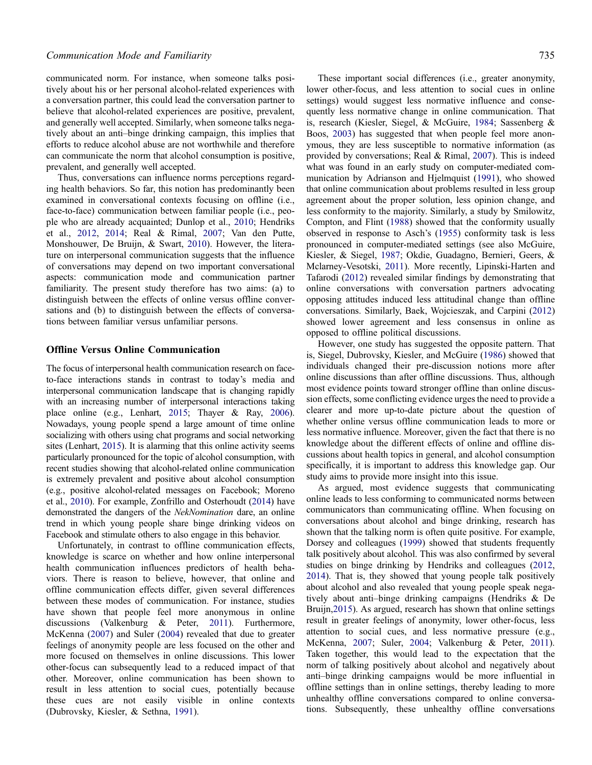communicated norm. For instance, when someone talks positively about his or her personal alcohol-related experiences with a conversation partner, this could lead the conversation partner to believe that alcohol-related experiences are positive, prevalent, and generally well accepted. Similarly, when someone talks negatively about an anti–binge drinking campaign, this implies that efforts to reduce alcohol abuse are not worthwhile and therefore can communicate the norm that alcohol consumption is positive, prevalent, and generally well accepted.

Thus, conversations can influence norms perceptions regarding health behaviors. So far, this notion has predominantly been examined in conversational contexts focusing on offline (i.e., face-to-face) communication between familiar people (i.e., people who are already acquainted; Dunlop et al., [2010](#page-8-0); Hendriks et al., [2012,](#page-8-0) [2014;](#page-8-0) Real & Rimal, [2007](#page-8-0); Van den Putte, Monshouwer, De Bruijn, & Swart, [2010\)](#page-8-0). However, the literature on interpersonal communication suggests that the influence of conversations may depend on two important conversational aspects: communication mode and communication partner familiarity. The present study therefore has two aims: (a) to distinguish between the effects of online versus offline conversations and (b) to distinguish between the effects of conversations between familiar versus unfamiliar persons.

## Offline Versus Online Communication

The focus of interpersonal health communication research on faceto-face interactions stands in contrast to today's media and interpersonal communication landscape that is changing rapidly with an increasing number of interpersonal interactions taking place online (e.g., Lenhart, [2015](#page-8-0); Thayer & Ray, [2006](#page-8-0)). Nowadays, young people spend a large amount of time online socializing with others using chat programs and social networking sites (Lenhart, [2015\)](#page-8-0). It is alarming that this online activity seems particularly pronounced for the topic of alcohol consumption, with recent studies showing that alcohol-related online communication is extremely prevalent and positive about alcohol consumption (e.g., positive alcohol-related messages on Facebook; Moreno et al., [2010](#page-8-0)). For example, Zonfrillo and Osterhoudt ([2014](#page-9-0)) have demonstrated the dangers of the NekNomination dare, an online trend in which young people share binge drinking videos on Facebook and stimulate others to also engage in this behavior.

Unfortunately, in contrast to offline communication effects, knowledge is scarce on whether and how online interpersonal health communication influences predictors of health behaviors. There is reason to believe, however, that online and offline communication effects differ, given several differences between these modes of communication. For instance, studies have shown that people feel more anonymous in online discussions (Valkenburg & Peter, [2011](#page-8-0)). Furthermore, McKenna ([2007\)](#page-8-0) and Suler [\(2004](#page-8-0)) revealed that due to greater feelings of anonymity people are less focused on the other and more focused on themselves in online discussions. This lower other-focus can subsequently lead to a reduced impact of that other. Moreover, online communication has been shown to result in less attention to social cues, potentially because these cues are not easily visible in online contexts (Dubrovsky, Kiesler, & Sethna, [1991](#page-8-0)).

These important social differences (i.e., greater anonymity, lower other-focus, and less attention to social cues in online settings) would suggest less normative influence and consequently less normative change in online communication. That is, research (Kiesler, Siegel, & McGuire, [1984;](#page-8-0) Sassenberg & Boos, [2003](#page-8-0)) has suggested that when people feel more anonymous, they are less susceptible to normative information (as provided by conversations; Real & Rimal, [2007](#page-8-0)). This is indeed what was found in an early study on computer-mediated communication by Adrianson and Hjelmquist [\(1991](#page-7-0)), who showed that online communication about problems resulted in less group agreement about the proper solution, less opinion change, and less conformity to the majority. Similarly, a study by Smilowitz, Compton, and Flint [\(1988](#page-8-0)) showed that the conformity usually observed in response to Asch's [\(1955](#page-7-0)) conformity task is less pronounced in computer-mediated settings (see also McGuire, Kiesler, & Siegel, [1987;](#page-8-0) Okdie, Guadagno, Bernieri, Geers, & Mclarney-Vesotski, [2011](#page-8-0)). More recently, Lipinski-Harten and Tafarodi ([2012\)](#page-8-0) revealed similar findings by demonstrating that online conversations with conversation partners advocating opposing attitudes induced less attitudinal change than offline conversations. Similarly, Baek, Wojcieszak, and Carpini ([2012\)](#page-7-0) showed lower agreement and less consensus in online as opposed to offline political discussions.

However, one study has suggested the opposite pattern. That is, Siegel, Dubrovsky, Kiesler, and McGuire [\(1986](#page-8-0)) showed that individuals changed their pre-discussion notions more after online discussions than after offline discussions. Thus, although most evidence points toward stronger offline than online discussion effects, some conflicting evidence urges the need to provide a clearer and more up-to-date picture about the question of whether online versus offline communication leads to more or less normative influence. Moreover, given the fact that there is no knowledge about the different effects of online and offline discussions about health topics in general, and alcohol consumption specifically, it is important to address this knowledge gap. Our study aims to provide more insight into this issue.

As argued, most evidence suggests that communicating online leads to less conforming to communicated norms between communicators than communicating offline. When focusing on conversations about alcohol and binge drinking, research has shown that the talking norm is often quite positive. For example, Dorsey and colleagues ([1999\)](#page-7-0) showed that students frequently talk positively about alcohol. This was also confirmed by several studies on binge drinking by Hendriks and colleagues ([2012,](#page-8-0) [2014\)](#page-8-0). That is, they showed that young people talk positively about alcohol and also revealed that young people speak negatively about anti–binge drinking campaigns (Hendriks & De Bruijn,[2015\)](#page-8-0). As argued, research has shown that online settings result in greater feelings of anonymity, lower other-focus, less attention to social cues, and less normative pressure (e.g., McKenna, [2007](#page-8-0); Suler, [2004;](#page-8-0) Valkenburg & Peter, [2011](#page-8-0)). Taken together, this would lead to the expectation that the norm of talking positively about alcohol and negatively about anti–binge drinking campaigns would be more influential in offline settings than in online settings, thereby leading to more unhealthy offline conversations compared to online conversations. Subsequently, these unhealthy offline conversations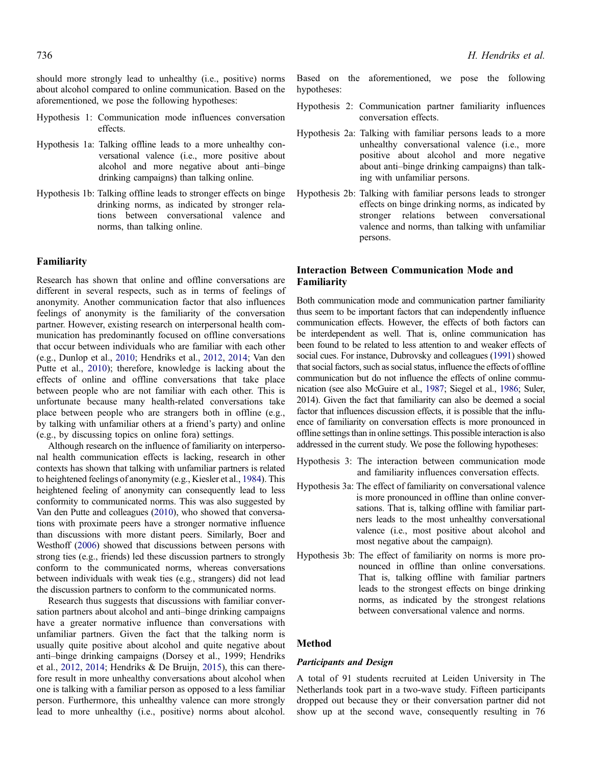should more strongly lead to unhealthy (i.e., positive) norms about alcohol compared to online communication. Based on the aforementioned, we pose the following hypotheses:

- Hypothesis 1: Communication mode influences conversation effects.
- Hypothesis 1a: Talking offline leads to a more unhealthy conversational valence (i.e., more positive about alcohol and more negative about anti–binge drinking campaigns) than talking online.
- Hypothesis 1b: Talking offline leads to stronger effects on binge drinking norms, as indicated by stronger relations between conversational valence and norms, than talking online.

## Familiarity

Research has shown that online and offline conversations are different in several respects, such as in terms of feelings of anonymity. Another communication factor that also influences feelings of anonymity is the familiarity of the conversation partner. However, existing research on interpersonal health communication has predominantly focused on offline conversations that occur between individuals who are familiar with each other (e.g., Dunlop et al., [2010;](#page-8-0) Hendriks et al., [2012](#page-8-0), [2014](#page-8-0); Van den Putte et al., [2010\)](#page-8-0); therefore, knowledge is lacking about the effects of online and offline conversations that take place between people who are not familiar with each other. This is unfortunate because many health-related conversations take place between people who are strangers both in offline (e.g., by talking with unfamiliar others at a friend's party) and online (e.g., by discussing topics on online fora) settings.

Although research on the influence of familiarity on interpersonal health communication effects is lacking, research in other contexts has shown that talking with unfamiliar partners is related to heightened feelings of anonymity (e.g., Kiesler et al., [1984](#page-8-0)). This heightened feeling of anonymity can consequently lead to less conformity to communicated norms. This was also suggested by Van den Putte and colleagues ([2010](#page-8-0)), who showed that conversations with proximate peers have a stronger normative influence than discussions with more distant peers. Similarly, Boer and Westhoff [\(2006\)](#page-7-0) showed that discussions between persons with strong ties (e.g., friends) led these discussion partners to strongly conform to the communicated norms, whereas conversations between individuals with weak ties (e.g., strangers) did not lead the discussion partners to conform to the communicated norms.

Research thus suggests that discussions with familiar conversation partners about alcohol and anti–binge drinking campaigns have a greater normative influence than conversations with unfamiliar partners. Given the fact that the talking norm is usually quite positive about alcohol and quite negative about anti–binge drinking campaigns (Dorsey et al., 1999; Hendriks et al., [2012,](#page-8-0) [2014](#page-8-0); Hendriks & De Bruijn, [2015](#page-8-0)), this can therefore result in more unhealthy conversations about alcohol when one is talking with a familiar person as opposed to a less familiar person. Furthermore, this unhealthy valence can more strongly lead to more unhealthy (i.e., positive) norms about alcohol.

Based on the aforementioned, we pose the following hypotheses:

- Hypothesis 2: Communication partner familiarity influences conversation effects.
- Hypothesis 2a: Talking with familiar persons leads to a more unhealthy conversational valence (i.e., more positive about alcohol and more negative about anti–binge drinking campaigns) than talking with unfamiliar persons.
- Hypothesis 2b: Talking with familiar persons leads to stronger effects on binge drinking norms, as indicated by stronger relations between conversational valence and norms, than talking with unfamiliar persons.

## Interaction Between Communication Mode and Familiarity

Both communication mode and communication partner familiarity thus seem to be important factors that can independently influence communication effects. However, the effects of both factors can be interdependent as well. That is, online communication has been found to be related to less attention to and weaker effects of social cues. For instance, Dubrovsky and colleagues [\(1991](#page-8-0)) showed that social factors, such as social status, influence the effects of offline communication but do not influence the effects of online communication (see also McGuire et al., [1987](#page-8-0); Siegel et al., [1986](#page-8-0); Suler, 2014). Given the fact that familiarity can also be deemed a social factor that influences discussion effects, it is possible that the influence of familiarity on conversation effects is more pronounced in offline settings than in online settings. This possible interaction is also addressed in the current study. We pose the following hypotheses:

- Hypothesis 3: The interaction between communication mode and familiarity influences conversation effects.
- Hypothesis 3a: The effect of familiarity on conversational valence is more pronounced in offline than online conversations. That is, talking offline with familiar partners leads to the most unhealthy conversational valence (i.e., most positive about alcohol and most negative about the campaign).
- Hypothesis 3b: The effect of familiarity on norms is more pronounced in offline than online conversations. That is, talking offline with familiar partners leads to the strongest effects on binge drinking norms, as indicated by the strongest relations between conversational valence and norms.

## Method

#### Participants and Design

A total of 91 students recruited at Leiden University in The Netherlands took part in a two-wave study. Fifteen participants dropped out because they or their conversation partner did not show up at the second wave, consequently resulting in 76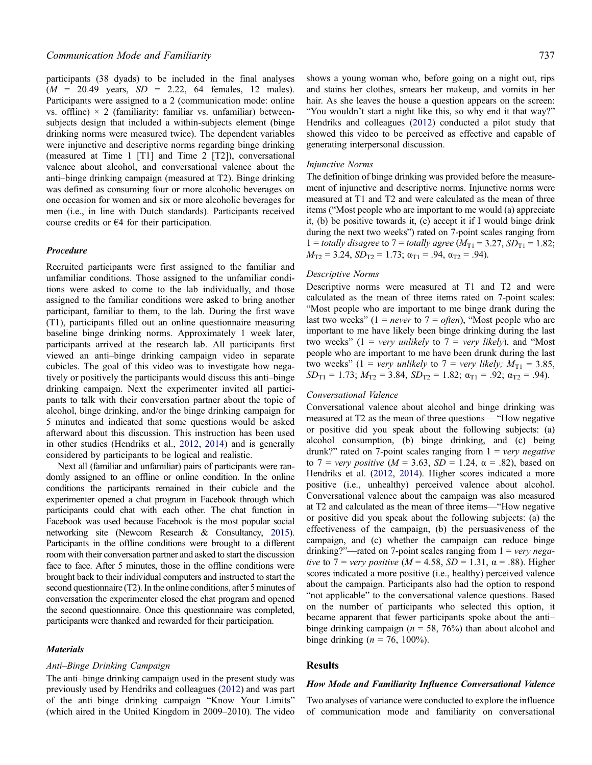participants (38 dyads) to be included in the final analyses  $(M = 20.49 \text{ years}, SD = 2.22, 64 \text{ females}, 12 \text{ males}).$ Participants were assigned to a 2 (communication mode: online vs. offline)  $\times$  2 (familiarity: familiar vs. unfamiliar) betweensubjects design that included a within-subjects element (binge drinking norms were measured twice). The dependent variables were injunctive and descriptive norms regarding binge drinking (measured at Time 1 [T1] and Time 2 [T2]), conversational valence about alcohol, and conversational valence about the anti–binge drinking campaign (measured at T2). Binge drinking was defined as consuming four or more alcoholic beverages on one occasion for women and six or more alcoholic beverages for men (i.e., in line with Dutch standards). Participants received course credits or  $64$  for their participation.

#### Procedure

Recruited participants were first assigned to the familiar and unfamiliar conditions. Those assigned to the unfamiliar conditions were asked to come to the lab individually, and those assigned to the familiar conditions were asked to bring another participant, familiar to them, to the lab. During the first wave (T1), participants filled out an online questionnaire measuring baseline binge drinking norms. Approximately 1 week later, participants arrived at the research lab. All participants first viewed an anti–binge drinking campaign video in separate cubicles. The goal of this video was to investigate how negatively or positively the participants would discuss this anti–binge drinking campaign. Next the experimenter invited all participants to talk with their conversation partner about the topic of alcohol, binge drinking, and/or the binge drinking campaign for 5 minutes and indicated that some questions would be asked afterward about this discussion. This instruction has been used in other studies (Hendriks et al., [2012,](#page-8-0) [2014](#page-8-0)) and is generally considered by participants to be logical and realistic.

Next all (familiar and unfamiliar) pairs of participants were randomly assigned to an offline or online condition. In the online conditions the participants remained in their cubicle and the experimenter opened a chat program in Facebook through which participants could chat with each other. The chat function in Facebook was used because Facebook is the most popular social networking site (Newcom Research & Consultancy, [2015](#page-8-0)). Participants in the offline conditions were brought to a different room with their conversation partner and asked to start the discussion face to face. After 5 minutes, those in the offline conditions were brought back to their individual computers and instructed to start the second questionnaire (T2). In the online conditions, after 5 minutes of conversation the experimenter closed the chat program and opened the second questionnaire. Once this questionnaire was completed, participants were thanked and rewarded for their participation.

#### Materials

#### Anti–Binge Drinking Campaign

The anti–binge drinking campaign used in the present study was previously used by Hendriks and colleagues ([2012\)](#page-8-0) and was part of the anti–binge drinking campaign "Know Your Limits" (which aired in the United Kingdom in 2009–2010). The video

shows a young woman who, before going on a night out, rips and stains her clothes, smears her makeup, and vomits in her hair. As she leaves the house a question appears on the screen: "You wouldn't start a night like this, so why end it that way?" Hendriks and colleagues [\(2012](#page-8-0)) conducted a pilot study that showed this video to be perceived as effective and capable of generating interpersonal discussion.

#### Injunctive Norms

The definition of binge drinking was provided before the measurement of injunctive and descriptive norms. Injunctive norms were measured at T1 and T2 and were calculated as the mean of three items ("Most people who are important to me would (a) appreciate it, (b) be positive towards it, (c) accept it if I would binge drink during the next two weeks") rated on 7-point scales ranging from 1 = totally disagree to 7 = totally agree ( $M_{\text{T1}}$  = 3.27, SD<sub>T1</sub> = 1.82;  $M_{\text{T2}} = 3.24$ ,  $SD_{\text{T2}} = 1.73$ ;  $\alpha_{\text{T1}} = .94$ ,  $\alpha_{\text{T2}} = .94$ ).

#### Descriptive Norms

Descriptive norms were measured at T1 and T2 and were calculated as the mean of three items rated on 7-point scales: "Most people who are important to me binge drank during the last two weeks" (1 = *never* to  $7 = often$ ), "Most people who are important to me have likely been binge drinking during the last two weeks"  $(1 = verv \text{ unlikely to } 7 = verv \text{ likely})$ , and "Most" people who are important to me have been drunk during the last two weeks" (1 = very unlikely to 7 = very likely;  $M_{\text{T1}}$  = 3.85,  $SD_{T1} = 1.73$ ;  $M_{T2} = 3.84$ ,  $SD_{T2} = 1.82$ ;  $\alpha_{T1} = .92$ ;  $\alpha_{T2} = .94$ ).

#### Conversational Valence

Conversational valence about alcohol and binge drinking was measured at T2 as the mean of three questions— "How negative or positive did you speak about the following subjects: (a) alcohol consumption, (b) binge drinking, and (c) being drunk?" rated on 7-point scales ranging from  $1 = \text{very negative}$ to 7 = very positive ( $M = 3.63$ ,  $SD = 1.24$ ,  $\alpha = .82$ ), based on Hendriks et al. [\(2012](#page-8-0), [2014](#page-8-0)). Higher scores indicated a more positive (i.e., unhealthy) perceived valence about alcohol. Conversational valence about the campaign was also measured at T2 and calculated as the mean of three items—"How negative or positive did you speak about the following subjects: (a) the effectiveness of the campaign, (b) the persuasiveness of the campaign, and (c) whether the campaign can reduce binge drinking?"—rated on 7-point scales ranging from  $1 = very nega$ tive to  $7 = \text{very positive } (M = 4.58, SD = 1.31, \alpha = .88)$ . Higher scores indicated a more positive (i.e., healthy) perceived valence about the campaign. Participants also had the option to respond "not applicable" to the conversational valence questions. Based on the number of participants who selected this option, it became apparent that fewer participants spoke about the anti– binge drinking campaign ( $n = 58$ , 76%) than about alcohol and binge drinking ( $n = 76$ , 100%).

## Results

## How Mode and Familiarity Influence Conversational Valence

Two analyses of variance were conducted to explore the influence of communication mode and familiarity on conversational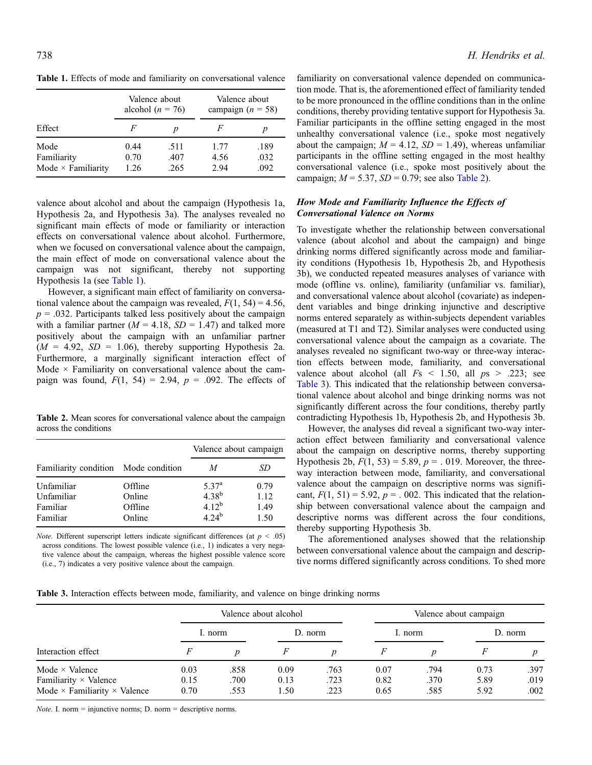Table 1. Effects of mode and familiarity on conversational valence

|                           |      | Valence about<br>alcohol ( $n = 76$ ) | Valence about<br>campaign $(n = 58)$ |      |  |
|---------------------------|------|---------------------------------------|--------------------------------------|------|--|
| Effect                    | F    | p                                     | F                                    |      |  |
| Mode                      | 0.44 | .511                                  | 1.77                                 | .189 |  |
| Familiarity               | 0.70 | .407                                  | 4.56                                 | .032 |  |
| Mode $\times$ Familiarity | 1.26 | .265                                  | 2.94                                 | .092 |  |

valence about alcohol and about the campaign (Hypothesis 1a, Hypothesis 2a, and Hypothesis 3a). The analyses revealed no significant main effects of mode or familiarity or interaction effects on conversational valence about alcohol. Furthermore, when we focused on conversational valence about the campaign, the main effect of mode on conversational valence about the campaign was not significant, thereby not supporting Hypothesis 1a (see Table 1).

However, a significant main effect of familiarity on conversational valence about the campaign was revealed,  $F(1, 54) = 4.56$ ,  $p = 0.032$ . Participants talked less positively about the campaign with a familiar partner ( $M = 4.18$ ,  $SD = 1.47$ ) and talked more positively about the campaign with an unfamiliar partner  $(M = 4.92, SD = 1.06)$ , thereby supporting Hypothesis 2a. Furthermore, a marginally significant interaction effect of Mode  $\times$  Familiarity on conversational valence about the campaign was found,  $F(1, 54) = 2.94$ ,  $p = .092$ . The effects of

Table 2. Mean scores for conversational valence about the campaign across the conditions

|                                                  |                                        | Valence about campaign                               |                              |  |
|--------------------------------------------------|----------------------------------------|------------------------------------------------------|------------------------------|--|
| Familiarity condition Mode condition             |                                        | M                                                    | SD                           |  |
| Unfamiliar<br>Unfamiliar<br>Familiar<br>Familiar | Offline<br>Online<br>Offline<br>Online | $5.37^{a}$<br>$4.38^{b}$<br>$4.12^{b}$<br>$4.24^{b}$ | 0.79<br>1.12<br>1.49<br>1.50 |  |

*Note.* Different superscript letters indicate significant differences (at  $p < .05$ ) across conditions. The lowest possible valence (i.e., 1) indicates a very negative valence about the campaign, whereas the highest possible valence score (i.e., 7) indicates a very positive valence about the campaign.

familiarity on conversational valence depended on communication mode. That is, the aforementioned effect of familiarity tended to be more pronounced in the offline conditions than in the online conditions, thereby providing tentative support for Hypothesis 3a. Familiar participants in the offline setting engaged in the most unhealthy conversational valence (i.e., spoke most negatively about the campaign;  $M = 4.12$ ,  $SD = 1.49$ ), whereas unfamiliar participants in the offline setting engaged in the most healthy conversational valence (i.e., spoke most positively about the campaign;  $M = 5.37$ ,  $SD = 0.79$ ; see also Table 2).

## How Mode and Familiarity Influence the Effects of Conversational Valence on Norms

To investigate whether the relationship between conversational valence (about alcohol and about the campaign) and binge drinking norms differed significantly across mode and familiarity conditions (Hypothesis 1b, Hypothesis 2b, and Hypothesis 3b), we conducted repeated measures analyses of variance with mode (offline vs. online), familiarity (unfamiliar vs. familiar), and conversational valence about alcohol (covariate) as independent variables and binge drinking injunctive and descriptive norms entered separately as within-subjects dependent variables (measured at T1 and T2). Similar analyses were conducted using conversational valence about the campaign as a covariate. The analyses revealed no significant two-way or three-way interaction effects between mode, familiarity, and conversational valence about alcohol (all  $Fs \leq 1.50$ , all  $ps \geq .223$ ; see Table 3). This indicated that the relationship between conversational valence about alcohol and binge drinking norms was not significantly different across the four conditions, thereby partly contradicting Hypothesis 1b, Hypothesis 2b, and Hypothesis 3b.

However, the analyses did reveal a significant two-way interaction effect between familiarity and conversational valence about the campaign on descriptive norms, thereby supporting Hypothesis 2b,  $F(1, 53) = 5.89$ ,  $p = 0.019$ . Moreover, the threeway interaction between mode, familiarity, and conversational valence about the campaign on descriptive norms was significant,  $F(1, 51) = 5.92$ ,  $p = 0.002$ . This indicated that the relationship between conversational valence about the campaign and descriptive norms was different across the four conditions, thereby supporting Hypothesis 3b.

The aforementioned analyses showed that the relationship between conversational valence about the campaign and descriptive norms differed significantly across conditions. To shed more

Table 3. Interaction effects between mode, familiarity, and valence on binge drinking norms

|                                                                                                     |                      | Valence about alcohol |                      |                      | Valence about campaign |                      |                      |                      |
|-----------------------------------------------------------------------------------------------------|----------------------|-----------------------|----------------------|----------------------|------------------------|----------------------|----------------------|----------------------|
|                                                                                                     |                      | I. norm               |                      | D. norm              |                        | 1. norm              |                      | D. norm              |
| Interaction effect                                                                                  | F                    | n                     |                      | D                    |                        |                      |                      | n                    |
| Mode $\times$ Valence<br>Familiarity $\times$ Valence<br>Mode $\times$ Familiarity $\times$ Valence | 0.03<br>0.15<br>0.70 | .858<br>.700<br>.553  | 0.09<br>0.13<br>1.50 | .763<br>.723<br>.223 | 0.07<br>0.82<br>0.65   | .794<br>.370<br>.585 | 0.73<br>5.89<br>5.92 | .397<br>.019<br>.002 |

*Note.* I. norm  $=$  injunctive norms; D. norm  $=$  descriptive norms.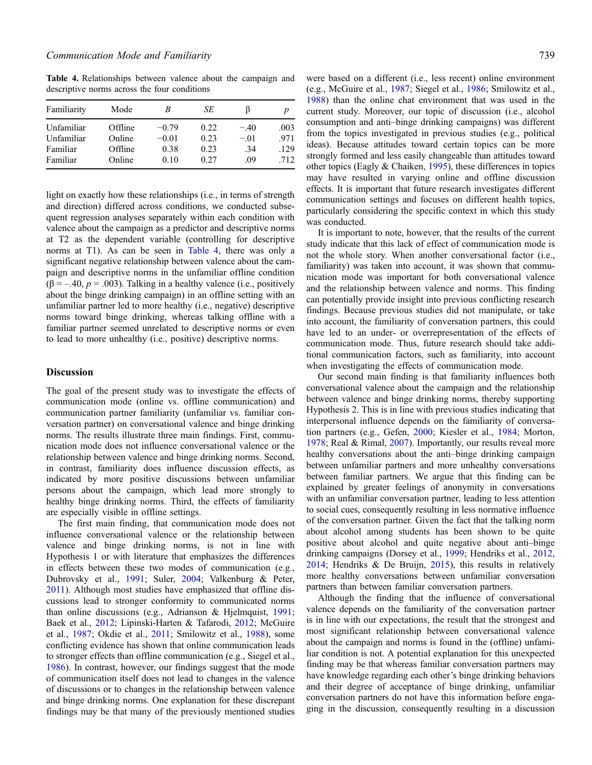Table 4. Relationships between valence about the campaign and descriptive norms across the four conditions

| Familiarity | Mode    | В       | SЕ   | B      | p    |
|-------------|---------|---------|------|--------|------|
| Unfamiliar  | Offline | $-0.79$ | 0.22 | $-.40$ | .003 |
| Unfamiliar  | Online  | $-0.01$ | 0.23 | $-.01$ | .971 |
| Familiar    | Offline | 0.38    | 0.23 | .34    | .129 |
| Familiar    | Online  | 0.10    | 0.27 | .09    | .712 |

light on exactly how these relationships (i.e., in terms of strength and direction) differed across conditions, we conducted subsequent regression analyses separately within each condition with valence about the campaign as a predictor and descriptive norms at T2 as the dependent variable (controlling for descriptive norms at T1). As can be seen in Table 4, there was only a significant negative relationship between valence about the campaign and descriptive norms in the unfamiliar offline condition ( $\beta$  = -.40,  $p$  = .003). Talking in a healthy valence (i.e., positively about the binge drinking campaign) in an offline setting with an unfamiliar partner led to more healthy (i.e., negative) descriptive norms toward binge drinking, whereas talking offline with a familiar partner seemed unrelated to descriptive norms or even to lead to more unhealthy (i.e., positive) descriptive norms.

### **Discussion**

The goal of the present study was to investigate the effects of communication mode (online vs. offline communication) and communication partner familiarity (unfamiliar vs. familiar conversation partner) on conversational valence and binge drinking norms. The results illustrate three main findings. First, communication mode does not influence conversational valence or the relationship between valence and binge drinking norms. Second, in contrast, familiarity does influence discussion effects, as indicated by more positive discussions between unfamiliar persons about the campaign, which lead more strongly to healthy binge drinking norms. Third, the effects of familiarity are especially visible in offline settings.

The first main finding, that communication mode does not influence conversational valence or the relationship between valence and binge drinking norms, is not in line with Hypothesis 1 or with literature that emphasizes the differences in effects between these two modes of communication (e.g., Dubrovsky et al., [1991;](#page-8-0) Suler, [2004;](#page-8-0) Valkenburg & Peter, [2011](#page-8-0)). Although most studies have emphasized that offline discussions lead to stronger conformity to communicated norms than online discussions (e.g., Adrianson & Hjelmquist, [1991](#page-7-0); Baek et al., [2012;](#page-7-0) Lipinski-Harten & Tafarodi, [2012;](#page-8-0) McGuire et al., [1987;](#page-8-0) Okdie et al., [2011](#page-8-0); Smilowitz et al., [1988](#page-8-0)), some conflicting evidence has shown that online communication leads to stronger effects than offline communication (e.g., Siegel et al., [1986\)](#page-8-0). In contrast, however, our findings suggest that the mode of communication itself does not lead to changes in the valence of discussions or to changes in the relationship between valence and binge drinking norms. One explanation for these discrepant findings may be that many of the previously mentioned studies

were based on a different (i.e., less recent) online environment (e.g., McGuire et al., [1987;](#page-8-0) Siegel et al., [1986;](#page-8-0) Smilowitz et al., [1988\)](#page-8-0) than the online chat environment that was used in the current study. Moreover, our topic of discussion (i.e., alcohol consumption and anti–binge drinking campaigns) was different from the topics investigated in previous studies (e.g., political ideas). Because attitudes toward certain topics can be more strongly formed and less easily changeable than attitudes toward other topics (Eagly & Chaiken, [1995](#page-8-0)), these differences in topics may have resulted in varying online and offline discussion effects. It is important that future research investigates different communication settings and focuses on different health topics, particularly considering the specific context in which this study was conducted.

It is important to note, however, that the results of the current study indicate that this lack of effect of communication mode is not the whole story. When another conversational factor (i.e., familiarity) was taken into account, it was shown that communication mode was important for both conversational valence and the relationship between valence and norms. This finding can potentially provide insight into previous conflicting research findings. Because previous studies did not manipulate, or take into account, the familiarity of conversation partners, this could have led to an under- or overrepresentation of the effects of communication mode. Thus, future research should take additional communication factors, such as familiarity, into account when investigating the effects of communication mode.

Our second main finding is that familiarity influences both conversational valence about the campaign and the relationship between valence and binge drinking norms, thereby supporting Hypothesis 2. This is in line with previous studies indicating that interpersonal influence depends on the familiarity of conversation partners (e.g., Gefen, [2000;](#page-8-0) Kiesler et al., [1984;](#page-8-0) Morton, [1978;](#page-8-0) Real & Rimal, [2007\)](#page-8-0). Importantly, our results reveal more healthy conversations about the anti–binge drinking campaign between unfamiliar partners and more unhealthy conversations between familiar partners. We argue that this finding can be explained by greater feelings of anonymity in conversations with an unfamiliar conversation partner, leading to less attention to social cues, consequently resulting in less normative influence of the conversation partner. Given the fact that the talking norm about alcohol among students has been shown to be quite positive about alcohol and quite negative about anti–binge drinking campaigns (Dorsey et al., [1999](#page-7-0); Hendriks et al., [2012,](#page-8-0) [2014;](#page-8-0) Hendriks & De Bruijn, [2015\)](#page-8-0), this results in relatively more healthy conversations between unfamiliar conversation partners than between familiar conversation partners.

Although the finding that the influence of conversational valence depends on the familiarity of the conversation partner is in line with our expectations, the result that the strongest and most significant relationship between conversational valence about the campaign and norms is found in the (offline) unfamiliar condition is not. A potential explanation for this unexpected finding may be that whereas familiar conversation partners may have knowledge regarding each other's binge drinking behaviors and their degree of acceptance of binge drinking, unfamiliar conversation partners do not have this information before engaging in the discussion, consequently resulting in a discussion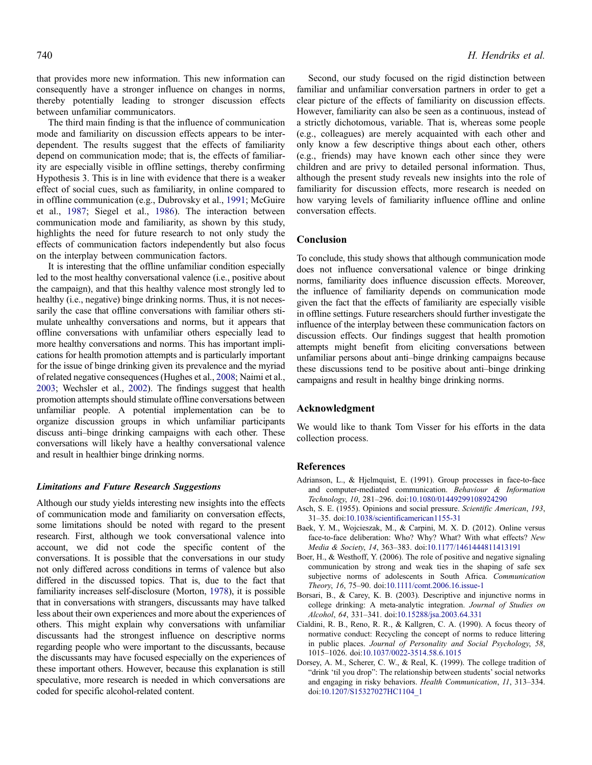<span id="page-7-0"></span>that provides more new information. This new information can consequently have a stronger influence on changes in norms, thereby potentially leading to stronger discussion effects between unfamiliar communicators.

The third main finding is that the influence of communication mode and familiarity on discussion effects appears to be interdependent. The results suggest that the effects of familiarity depend on communication mode; that is, the effects of familiarity are especially visible in offline settings, thereby confirming Hypothesis 3. This is in line with evidence that there is a weaker effect of social cues, such as familiarity, in online compared to in offline communication (e.g., Dubrovsky et al., [1991](#page-8-0); McGuire et al., [1987](#page-8-0); Siegel et al., [1986](#page-8-0)). The interaction between communication mode and familiarity, as shown by this study, highlights the need for future research to not only study the effects of communication factors independently but also focus on the interplay between communication factors.

It is interesting that the offline unfamiliar condition especially led to the most healthy conversational valence (i.e., positive about the campaign), and that this healthy valence most strongly led to healthy (i.e., negative) binge drinking norms. Thus, it is not necessarily the case that offline conversations with familiar others stimulate unhealthy conversations and norms, but it appears that offline conversations with unfamiliar others especially lead to more healthy conversations and norms. This has important implications for health promotion attempts and is particularly important for the issue of binge drinking given its prevalence and the myriad of related negative consequences (Hughes et al., [2008](#page-8-0); Naimi et al., [2003](#page-8-0); Wechsler et al., [2002](#page-9-0)). The findings suggest that health promotion attempts should stimulate offline conversations between unfamiliar people. A potential implementation can be to organize discussion groups in which unfamiliar participants discuss anti–binge drinking campaigns with each other. These conversations will likely have a healthy conversational valence and result in healthier binge drinking norms.

#### Limitations and Future Research Suggestions

Although our study yields interesting new insights into the effects of communication mode and familiarity on conversation effects, some limitations should be noted with regard to the present research. First, although we took conversational valence into account, we did not code the specific content of the conversations. It is possible that the conversations in our study not only differed across conditions in terms of valence but also differed in the discussed topics. That is, due to the fact that familiarity increases self-disclosure (Morton, [1978](#page-8-0)), it is possible that in conversations with strangers, discussants may have talked less about their own experiences and more about the experiences of others. This might explain why conversations with unfamiliar discussants had the strongest influence on descriptive norms regarding people who were important to the discussants, because the discussants may have focused especially on the experiences of these important others. However, because this explanation is still speculative, more research is needed in which conversations are coded for specific alcohol-related content.

Second, our study focused on the rigid distinction between familiar and unfamiliar conversation partners in order to get a clear picture of the effects of familiarity on discussion effects. However, familiarity can also be seen as a continuous, instead of a strictly dichotomous, variable. That is, whereas some people (e.g., colleagues) are merely acquainted with each other and only know a few descriptive things about each other, others (e.g., friends) may have known each other since they were children and are privy to detailed personal information. Thus, although the present study reveals new insights into the role of familiarity for discussion effects, more research is needed on how varying levels of familiarity influence offline and online conversation effects.

## Conclusion

To conclude, this study shows that although communication mode does not influence conversational valence or binge drinking norms, familiarity does influence discussion effects. Moreover, the influence of familiarity depends on communication mode given the fact that the effects of familiarity are especially visible in offline settings. Future researchers should further investigate the influence of the interplay between these communication factors on discussion effects. Our findings suggest that health promotion attempts might benefit from eliciting conversations between unfamiliar persons about anti–binge drinking campaigns because these discussions tend to be positive about anti–binge drinking campaigns and result in healthy binge drinking norms.

## Acknowledgment

We would like to thank Tom Visser for his efforts in the data collection process.

### References

- Adrianson, L., & Hjelmquist, E. (1991). Group processes in face-to-face and computer-mediated communication. Behaviour & Information Technology, 10, 281–296. doi:[10.1080/01449299108924290](http://dx.doi.org/10.1080/01449299108924290)
- Asch, S. E. (1955). Opinions and social pressure. Scientific American, 193, 31–35. doi:[10.1038/scientificamerican1155-31](http://dx.doi.org/10.1038/scientificamerican1155-31)
- Baek, Y. M., Wojcieszak, M., & Carpini, M. X. D. (2012). Online versus face-to-face deliberation: Who? Why? What? With what effects? New Media & Society, 14, 363–383. doi:[10.1177/1461444811413191](http://dx.doi.org/10.1177/1461444811413191)
- Boer, H., & Westhoff, Y. (2006). The role of positive and negative signaling communication by strong and weak ties in the shaping of safe sex subjective norms of adolescents in South Africa. Communication Theory, 16, 75–90. doi:[10.1111/comt.2006.16.issue-1](http://dx.doi.org/10.1111/comt.2006.16.issue-1)
- Borsari, B., & Carey, K. B. (2003). Descriptive and injunctive norms in college drinking: A meta-analytic integration. Journal of Studies on Alcohol, 64, 331–341. doi:[10.15288/jsa.2003.64.331](http://dx.doi.org/10.15288/jsa.2003.64.331)
- Cialdini, R. B., Reno, R. R., & Kallgren, C. A. (1990). A focus theory of normative conduct: Recycling the concept of norms to reduce littering in public places. Journal of Personality and Social Psychology, 58, 1015–1026. doi:[10.1037/0022-3514.58.6.1015](http://dx.doi.org/10.1037/0022-3514.58.6.1015)
- Dorsey, A. M., Scherer, C. W., & Real, K. (1999). The college tradition of "drink 'til you drop": The relationship between students' social networks and engaging in risky behaviors. Health Communication, 11, 313–334. doi:[10.1207/S15327027HC1104\\_1](http://dx.doi.org/10.1207/S15327027HC1104%5F1)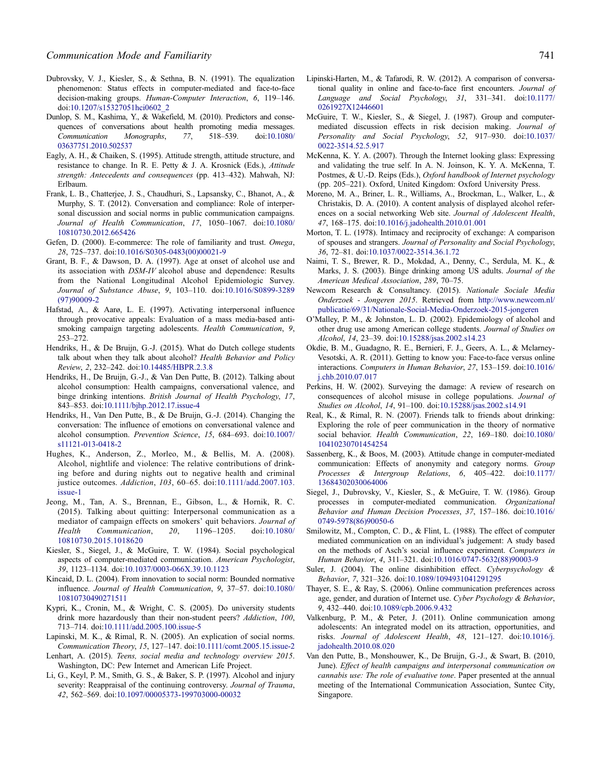- <span id="page-8-0"></span>Dubrovsky, V. J., Kiesler, S., & Sethna, B. N. (1991). The equalization phenomenon: Status effects in computer-mediated and face-to-face decision-making groups. Human-Computer Interaction, 6, 119–146. doi:[10.1207/s15327051hci0602\\_2](http://dx.doi.org/10.1207/s15327051hci0602%5F2)
- Dunlop, S. M., Kashima, Y., & Wakefield, M. (2010). Predictors and consequences of conversations about health promoting media messages. Communication Monographs, 77, 518–539. doi:[10.1080/](http://dx.doi.org/10.1080/03637751.2010.502537) [03637751.2010.502537](http://dx.doi.org/10.1080/03637751.2010.502537)
- Eagly, A. H., & Chaiken, S. (1995). Attitude strength, attitude structure, and resistance to change. In R. E. Petty & J. A. Krosnick (Eds.), Attitude strength: Antecedents and consequences (pp. 413–432). Mahwah, NJ: Erlbaum.
- Frank, L. B., Chatterjee, J. S., Chaudhuri, S., Lapsansky, C., Bhanot, A., & Murphy, S. T. (2012). Conversation and compliance: Role of interpersonal discussion and social norms in public communication campaigns. Journal of Health Communication, 17, 1050–1067. doi:[10.1080/](http://dx.doi.org/10.1080/10810730.2012.665426) [10810730.2012.665426](http://dx.doi.org/10.1080/10810730.2012.665426)
- Gefen, D. (2000). E-commerce: The role of familiarity and trust. Omega, 28, 725–737. doi:[10.1016/S0305-0483\(00\)00021-9](http://dx.doi.org/10.1016/S0305-0483(00)00021-9)
- Grant, B. F., & Dawson, D. A. (1997). Age at onset of alcohol use and its association with DSM-IV alcohol abuse and dependence: Results from the National Longitudinal Alcohol Epidemiologic Survey. Journal of Substance Abuse, 9, 103–110. doi:[10.1016/S0899-3289](http://dx.doi.org/10.1016/S0899-3289(97)90009-2) [\(97\)90009-2](http://dx.doi.org/10.1016/S0899-3289(97)90009-2)
- Hafstad, A., & Aarø, L. E. (1997). Activating interpersonal influence through provocative appeals: Evaluation of a mass media-based antismoking campaign targeting adolescents. Health Communication, 9, 253–272.
- Hendriks, H., & De Bruijn, G.-J. (2015). What do Dutch college students talk about when they talk about alcohol? Health Behavior and Policy Review, 2, 232–242. doi:[10.14485/HBPR.2.3.8](http://dx.doi.org/10.14485/HBPR.2.3.8)
- Hendriks, H., De Bruijn, G.-J., & Van Den Putte, B. (2012). Talking about alcohol consumption: Health campaigns, conversational valence, and binge drinking intentions. British Journal of Health Psychology, 17, 843–853. doi:[10.1111/bjhp.2012.17.issue-4](http://dx.doi.org/10.1111/bjhp.2012.17.issue-4)
- Hendriks, H., Van Den Putte, B., & De Bruijn, G.-J. (2014). Changing the conversation: The influence of emotions on conversational valence and alcohol consumption. Prevention Science, 15, 684–693. doi:[10.1007/](http://dx.doi.org/10.1007/s11121-013-0418-2) [s11121-013-0418-2](http://dx.doi.org/10.1007/s11121-013-0418-2)
- Hughes, K., Anderson, Z., Morleo, M., & Bellis, M. A. (2008). Alcohol, nightlife and violence: The relative contributions of drinking before and during nights out to negative health and criminal justice outcomes. Addiction, 103, 60–65. doi:[10.1111/add.2007.103.](http://dx.doi.org/10.1111/add.2007.103.issue-1) [issue-1](http://dx.doi.org/10.1111/add.2007.103.issue-1)
- Jeong, M., Tan, A. S., Brennan, E., Gibson, L., & Hornik, R. C. (2015). Talking about quitting: Interpersonal communication as a mediator of campaign effects on smokers' quit behaviors. Journal of Health Communication, 20, 1196–1205. doi:[10.1080/](http://dx.doi.org/10.1080/10810730.2015.1018620) [10810730.2015.1018620](http://dx.doi.org/10.1080/10810730.2015.1018620)
- Kiesler, S., Siegel, J., & McGuire, T. W. (1984). Social psychological aspects of computer-mediated communication. American Psychologist, 39, 1123–1134. doi:[10.1037/0003-066X.39.10.1123](http://dx.doi.org/10.1037/0003-066X.39.10.1123)
- Kincaid, D. L. (2004). From innovation to social norm: Bounded normative influence. Journal of Health Communication, 9, 37–57. doi:[10.1080/](http://dx.doi.org/10.1080/10810730490271511) [10810730490271511](http://dx.doi.org/10.1080/10810730490271511)
- Kypri, K., Cronin, M., & Wright, C. S. (2005). Do university students drink more hazardously than their non-student peers? Addiction, 100, 713–714. doi:[10.1111/add.2005.100.issue-5](http://dx.doi.org/10.1111/add.2005.100.issue-5)
- Lapinski, M. K., & Rimal, R. N. (2005). An explication of social norms. Communication Theory, 15, 127–147. doi:[10.1111/comt.2005.15.issue-2](http://dx.doi.org/10.1111/comt.2005.15.issue-2)
- Lenhart, A. (2015). Teens, social media and technology overview 2015. Washington, DC: Pew Internet and American Life Project.
- Li, G., Keyl, P. M., Smith, G. S., & Baker, S. P. (1997). Alcohol and injury severity: Reappraisal of the continuing controversy. Journal of Trauma, 42, 562–569. doi:[10.1097/00005373-199703000-00032](http://dx.doi.org/10.1097/00005373-199703000-00032)
- Lipinski-Harten, M., & Tafarodi, R. W. (2012). A comparison of conversational quality in online and face-to-face first encounters. Journal of Language and Social Psychology, 31, 331–341. doi:[10.1177/](http://dx.doi.org/10.1177/0261927X12446601) [0261927X12446601](http://dx.doi.org/10.1177/0261927X12446601)
- McGuire, T. W., Kiesler, S., & Siegel, J. (1987). Group and computermediated discussion effects in risk decision making. Journal of Personality and Social Psychology, 52, 917–930. doi:[10.1037/](http://dx.doi.org/10.1037/0022-3514.52.5.917) [0022-3514.52.5.917](http://dx.doi.org/10.1037/0022-3514.52.5.917)
- McKenna, K. Y. A. (2007). Through the Internet looking glass: Expressing and validating the true self. In A. N. Joinson, K. Y. A. McKenna, T. Postmes, & U.-D. Reips (Eds.), Oxford handbook of Internet psychology (pp. 205–221). Oxford, United Kingdom: Oxford University Press.
- Moreno, M. A., Briner, L. R., Williams, A., Brockman, L., Walker, L., & Christakis, D. A. (2010). A content analysis of displayed alcohol references on a social networking Web site. Journal of Adolescent Health, 47, 168–175. doi:[10.1016/j.jadohealth.2010.01.001](http://dx.doi.org/10.1016/j.jadohealth.2010.01.001)
- Morton, T. L. (1978). Intimacy and reciprocity of exchange: A comparison of spouses and strangers. Journal of Personality and Social Psychology, 36, 72–81. doi:[10.1037/0022-3514.36.1.72](http://dx.doi.org/10.1037/0022-3514.36.1.72)
- Naimi, T. S., Brewer, R. D., Mokdad, A., Denny, C., Serdula, M. K., & Marks, J. S. (2003). Binge drinking among US adults. Journal of the American Medical Association, 289, 70–75.
- Newcom Research & Consultancy. (2015). Nationale Sociale Media Onderzoek - Jongeren 2015. Retrieved from [http://www.newcom.nl/](http://www.newcom.nl/publicatie/69/31/Nationale-Social-Media-Onderzoek-2015-jongeren) [publicatie/69/31/Nationale-Social-Media-Onderzoek-2015-jongeren](http://www.newcom.nl/publicatie/69/31/Nationale-Social-Media-Onderzoek-2015-jongeren)
- O'Malley, P. M., & Johnston, L. D. (2002). Epidemiology of alcohol and other drug use among American college students. Journal of Studies on Alcohol, 14, 23–39. doi:[10.15288/jsas.2002.s14.23](http://dx.doi.org/10.15288/jsas.2002.s14.23)
- Okdie, B. M., Guadagno, R. E., Bernieri, F. J., Geers, A. L., & Mclarney-Vesotski, A. R. (2011). Getting to know you: Face-to-face versus online interactions. Computers in Human Behavior, 27, 153–159. doi:[10.1016/](http://dx.doi.org/10.1016/j.chb.2010.07.017) [j.chb.2010.07.017](http://dx.doi.org/10.1016/j.chb.2010.07.017)
- Perkins, H. W. (2002). Surveying the damage: A review of research on consequences of alcohol misuse in college populations. Journal of Studies on Alcohol, 14, 91–100. doi:[10.15288/jsas.2002.s14.91](http://dx.doi.org/10.15288/jsas.2002.s14.91)
- Real, K., & Rimal, R. N. (2007). Friends talk to friends about drinking: Exploring the role of peer communication in the theory of normative social behavior. Health Communication, 22, 169–180. doi:[10.1080/](http://dx.doi.org/10.1080/10410230701454254) [10410230701454254](http://dx.doi.org/10.1080/10410230701454254)
- Sassenberg, K., & Boos, M. (2003). Attitude change in computer-mediated communication: Effects of anonymity and category norms. Group Processes & Intergroup Relations, 6, 405–422. doi:[10.1177/](http://dx.doi.org/10.1177/13684302030064006) [13684302030064006](http://dx.doi.org/10.1177/13684302030064006)
- Siegel, J., Dubrovsky, V., Kiesler, S., & McGuire, T. W. (1986). Group processes in computer-mediated communication. Organizational Behavior and Human Decision Processes, 37, 157–186. doi:[10.1016/](http://dx.doi.org/10.1016/0749-5978(86)90050-6) [0749-5978\(86\)90050-6](http://dx.doi.org/10.1016/0749-5978(86)90050-6)
- Smilowitz, M., Compton, C. D., & Flint, L. (1988). The effect of computer mediated communication on an individual's judgement: A study based on the methods of Asch's social influence experiment. Computers in Human Behavior, 4, 311–321. doi:[10.1016/0747-5632\(88\)90003-9](http://dx.doi.org/10.1016/0747-5632(88)90003-9)
- Suler, J. (2004). The online disinhibition effect. Cyberpsychology & Behavior, 7, 321–326. doi:[10.1089/1094931041291295](http://dx.doi.org/10.1089/1094931041291295)
- Thayer, S. E., & Ray, S. (2006). Online communication preferences across age, gender, and duration of Internet use. Cyber Psychology & Behavior, 9, 432–440. doi:[10.1089/cpb.2006.9.432](http://dx.doi.org/10.1089/cpb.2006.9.432)
- Valkenburg, P. M., & Peter, J. (2011). Online communication among adolescents: An integrated model on its attraction, opportunities, and risks. Journal of Adolescent Health, 48, 121–127. doi:[10.1016/j.](http://dx.doi.org/10.1016/j.jadohealth.2010.08.020) [jadohealth.2010.08.020](http://dx.doi.org/10.1016/j.jadohealth.2010.08.020)
- Van den Putte, B., Monshouwer, K., De Bruijn, G.-J., & Swart, B. (2010, June). Effect of health campaigns and interpersonal communication on cannabis use: The role of evaluative tone. Paper presented at the annual meeting of the International Communication Association, Suntec City, Singapore.